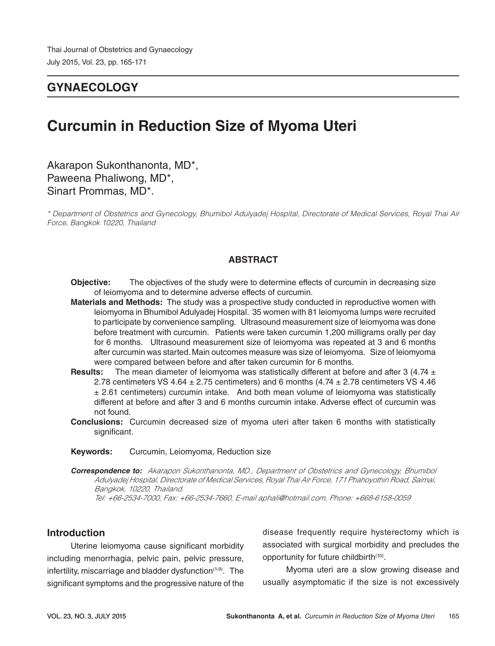# **GYNAECOLOGY**

# **Curcumin in Reduction Size of Myoma Uteri**

Akarapon Sukonthanonta, MD\*, Paweena Phaliwong, MD\*, Sinart Prommas, MD\*.

*\* Department of Obstetrics and Gynecology, Bhumibol Adulyadej Hospital, Directorate of Medical Services, Royal Thai Air Force, Bangkok 10220, Thailand*

# **ABSTRACT**

- **Objective:** The objectives of the study were to determine effects of curcumin in decreasing size of leiomyoma and to determine adverse effects of curcumin.
- **Materials and Methods:** The study was a prospective study conducted in reproductive women with leiomyoma in Bhumibol Adulyadej Hospital. 35 women with 81 leiomyoma lumps were recruited to participate by convenience sampling. Ultrasound measurement size of leiomyoma was done before treatment with curcumin. Patients were taken curcumin 1,200 milligrams orally per day for 6 months. Ultrasound measurement size of leiomyoma was repeated at 3 and 6 months after curcumin was started. Main outcomes measure was size of leiomyoma. Size of leiomyoma were compared between before and after taken curcumin for 6 months.
- **Results:** The mean diameter of leiomyoma was statistically different at before and after 3 (4.74 ± 2.78 centimeters VS  $4.64 \pm 2.75$  centimeters) and 6 months  $(4.74 \pm 2.78$  centimeters VS  $4.46$  $±$  2.61 centimeters) curcumin intake. And both mean volume of leiomyoma was statistically different at before and after 3 and 6 months curcumin intake. Adverse effect of curcumin was not found.
- **Conclusions:** Curcumin decreased size of myoma uteri after taken 6 months with statistically significant.

**Keywords:** Curcumin, Leiomyoma, Reduction size

**Correspondence to:** *Akarapon Sukonthanonta, MD., Department of Obstetrics and Gynecology, Bhumibol Adulyadej Hospital, Directorate of Medical Services, Royal Thai Air Force, 171 Phahoyothin Road, Saimai, Bangkok, 10220, Thailand.*

*Tel: +66-2534-7000, Fax: +66-2534-7660, E-mail aphali@hotmail.com, Phone: +668-6158-0059*

### **Introduction**

Uterine leiomyoma cause significant morbidity including menorrhagia, pelvic pain, pelvic pressure, infertility, miscarriage and bladder dysfunction $(1-9)$ . The significant symptoms and the progressive nature of the disease frequently require hysterectomy which is associated with surgical morbidity and precludes the opportunity for future childbirth(10).

Myoma uteri are a slow growing disease and usually asymptomatic if the size is not excessively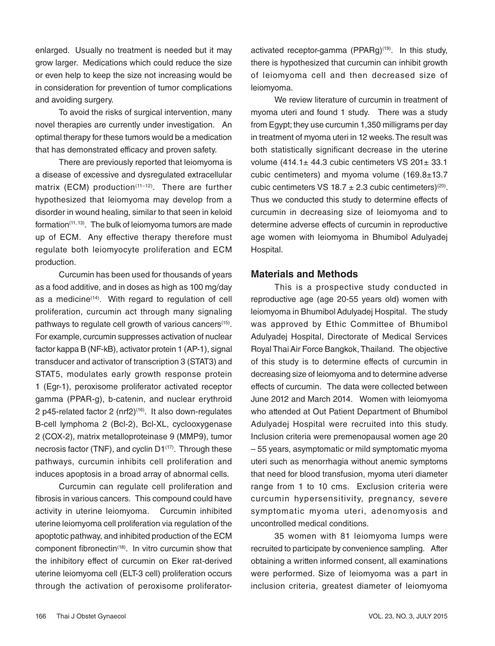enlarged. Usually no treatment is needed but it may grow larger. Medications which could reduce the size or even help to keep the size not increasing would be in consideration for prevention of tumor complications and avoiding surgery.

To avoid the risks of surgical intervention, many novel therapies are currently under investigation. An optimal therapy for these tumors would be a medication that has demonstrated efficacy and proven safety.

There are previously reported that leiomyoma is a disease of excessive and dysregulated extracellular matrix (ECM) production $(11-12)$ . There are further hypothesized that leiomyoma may develop from a disorder in wound healing, similar to that seen in keloid formation(11, 13). The bulk of leiomyoma tumors are made up of ECM. Any effective therapy therefore must regulate both leiomyocyte proliferation and ECM production.

Curcumin has been used for thousands of years as a food additive, and in doses as high as 100 mg/day as a medicine<sup> $(14)$ </sup>. With regard to regulation of cell proliferation, curcumin act through many signaling pathways to regulate cell growth of various cancers<sup>(15)</sup>. For example, curcumin suppresses activation of nuclear factor kappa B (NF-kB), activator protein 1 (AP-1), signal transducer and activator of transcription 3 (STAT3) and STAT5, modulates early growth response protein 1 (Egr-1), peroxisome proliferator activated receptor gamma (PPAR-g), b-catenin, and nuclear erythroid 2 p45-related factor 2 (nrf2)(16). It also down-regulates B-cell lymphoma 2 (Bcl-2), Bcl-XL, cyclooxygenase 2 (COX-2), matrix metalloproteinase 9 (MMP9), tumor necrosis factor (TNF), and cyclin  $D1^{(17)}$ . Through these pathways, curcumin inhibits cell proliferation and induces apoptosis in a broad array of abnormal cells.

Curcumin can regulate cell proliferation and fibrosis in various cancers. This compound could have activity in uterine leiomyoma. Curcumin inhibited uterine leiomyoma cell proliferation via regulation of the apoptotic pathway, and inhibited production of the ECM component fibronectin<sup>(18)</sup>. In vitro curcumin show that the inhibitory effect of curcumin on Eker rat-derived uterine leiomyoma cell (ELT-3 cell) proliferation occurs through the activation of peroxisome proliferatoractivated receptor-gamma (PPARg)<sup>(19)</sup>. In this study, there is hypothesized that curcumin can inhibit growth of leiomyoma cell and then decreased size of leiomyoma.

We review literature of curcumin in treatment of myoma uteri and found 1 study. There was a study from Egypt; they use curcumin 1,350 milligrams per day in treatment of myoma uteri in 12 weeks. The result was both statistically significant decrease in the uterine volume  $(414.1 \pm 44.3 \text{ cubic centimeters VS } 201 \pm 33.1$ cubic centimeters) and myoma volume (169.8±13.7 cubic centimeters VS 18.7  $\pm$  2.3 cubic centimeters)<sup>(20)</sup>. Thus we conducted this study to determine effects of curcumin in decreasing size of leiomyoma and to determine adverse effects of curcumin in reproductive age women with leiomyoma in Bhumibol Adulyadej Hospital.

# **Materials and Methods**

This is a prospective study conducted in reproductive age (age 20-55 years old) women with leiomyoma in Bhumibol Adulyadej Hospital. The study was approved by Ethic Committee of Bhumibol Adulyadej Hospital, Directorate of Medical Services Royal Thai Air Force Bangkok, Thailand. The objective of this study is to determine effects of curcumin in decreasing size of leiomyoma and to determine adverse effects of curcumin. The data were collected between June 2012 and March 2014. Women with leiomyoma who attended at Out Patient Department of Bhumibol Adulyadej Hospital were recruited into this study. Inclusion criteria were premenopausal women age 20 – 55 years, asymptomatic or mild symptomatic myoma uteri such as menorrhagia without anemic symptoms that need for blood transfusion, myoma uteri diameter range from 1 to 10 cms. Exclusion criteria were curcumin hypersensitivity, pregnancy, severe symptomatic myoma uteri, adenomyosis and uncontrolled medical conditions.

35 women with 81 leiomyoma lumps were recruited to participate by convenience sampling. After obtaining a written informed consent, all examinations were performed. Size of leiomyoma was a part in inclusion criteria, greatest diameter of leiomyoma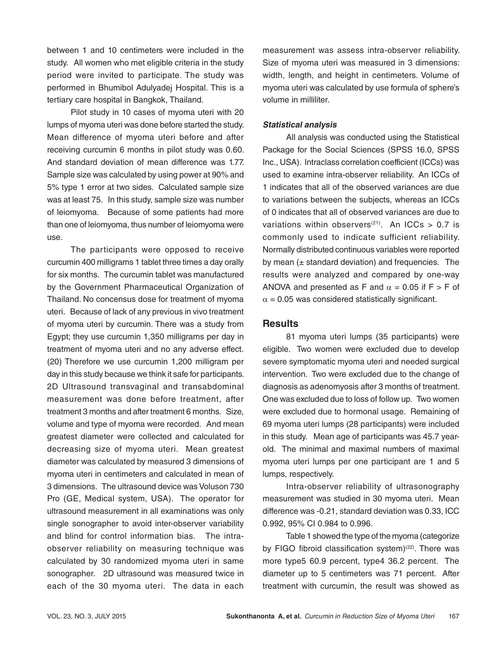between 1 and 10 centimeters were included in the study. All women who met eligible criteria in the study period were invited to participate. The study was performed in Bhumibol Adulyadej Hospital. This is a tertiary care hospital in Bangkok, Thailand.

Pilot study in 10 cases of myoma uteri with 20 lumps of myoma uteri was done before started the study. Mean difference of myoma uteri before and after receiving curcumin 6 months in pilot study was 0.60. And standard deviation of mean difference was 1.77. Sample size was calculated by using power at 90% and 5% type 1 error at two sides. Calculated sample size was at least 75. In this study, sample size was number of leiomyoma. Because of some patients had more than one of leiomyoma, thus number of leiomyoma were use.

The participants were opposed to receive curcumin 400 milligrams 1 tablet three times a day orally for six months. The curcumin tablet was manufactured by the Government Pharmaceutical Organization of Thailand. No concensus dose for treatment of myoma uteri. Because of lack of any previous in vivo treatment of myoma uteri by curcumin. There was a study from Egypt; they use curcumin 1,350 milligrams per day in treatment of myoma uteri and no any adverse effect. (20) Therefore we use curcumin 1,200 milligram per day in this study because we think it safe for participants. 2D Ultrasound transvaginal and transabdominal measurement was done before treatment, after treatment 3 months and after treatment 6 months. Size, volume and type of myoma were recorded. And mean greatest diameter were collected and calculated for decreasing size of myoma uteri. Mean greatest diameter was calculated by measured 3 dimensions of myoma uteri in centimeters and calculated in mean of 3 dimensions. The ultrasound device was Voluson 730 Pro (GE, Medical system, USA). The operator for ultrasound measurement in all examinations was only single sonographer to avoid inter-observer variability and blind for control information bias. The intraobserver reliability on measuring technique was calculated by 30 randomized myoma uteri in same sonographer. 2D ultrasound was measured twice in each of the 30 myoma uteri. The data in each

measurement was assess intra-observer reliability. Size of myoma uteri was measured in 3 dimensions: width, length, and height in centimeters. Volume of myoma uteri was calculated by use formula of sphere's volume in milliliter.

### **Statistical analysis**

All analysis was conducted using the Statistical Package for the Social Sciences (SPSS 16.0, SPSS Inc., USA). Intraclass correlation coefficient (ICCs) was used to examine intra-observer reliability. An ICCs of 1 indicates that all of the observed variances are due to variations between the subjects, whereas an ICCs of 0 indicates that all of observed variances are due to variations within observers<sup>(21)</sup>. An ICCs > 0.7 is commonly used to indicate sufficient reliability. Normally distributed continuous variables were reported by mean  $(\pm$  standard deviation) and frequencies. The results were analyzed and compared by one-way ANOVA and presented as F and  $\alpha$  = 0.05 if F > F of  $\alpha$  = 0.05 was considered statistically significant.

# **Results**

81 myoma uteri lumps (35 participants) were eligible. Two women were excluded due to develop severe symptomatic myoma uteri and needed surgical intervention. Two were excluded due to the change of diagnosis as adenomyosis after 3 months of treatment. One was excluded due to loss of follow up. Two women were excluded due to hormonal usage. Remaining of 69 myoma uteri lumps (28 participants) were included in this study. Mean age of participants was 45.7 yearold. The minimal and maximal numbers of maximal myoma uteri lumps per one participant are 1 and 5 lumps, respectively.

Intra-observer reliability of ultrasonography measurement was studied in 30 myoma uteri. Mean difference was -0.21, standard deviation was 0.33, ICC 0.992, 95% CI 0.984 to 0.996.

Table 1 showed the type of the myoma (categorize by FIGO fibroid classification system)<sup>(22)</sup>. There was more type5 60.9 percent, type4 36.2 percent. The diameter up to 5 centimeters was 71 percent. After treatment with curcumin, the result was showed as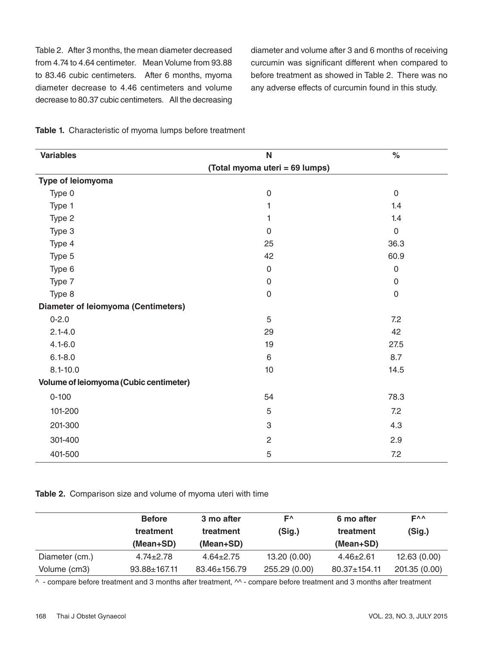Table 2. After 3 months, the mean diameter decreased from 4.74 to 4.64 centimeter. Mean Volume from 93.88 to 83.46 cubic centimeters. After 6 months, myoma diameter decrease to 4.46 centimeters and volume decrease to 80.37 cubic centimeters. All the decreasing

diameter and volume after 3 and 6 months of receiving curcumin was significant different when compared to before treatment as showed in Table 2. There was no any adverse effects of curcumin found in this study.

|  |  | Table 1. Characteristic of myoma lumps before treatment |  |  |  |  |  |
|--|--|---------------------------------------------------------|--|--|--|--|--|
|--|--|---------------------------------------------------------|--|--|--|--|--|

| <b>Variables</b>                       | $\mathbf N$                    | $\%$        |
|----------------------------------------|--------------------------------|-------------|
|                                        | (Total myoma uteri = 69 lumps) |             |
| Type of leiomyoma                      |                                |             |
| Type 0                                 | $\mathsf{O}\xspace$            | $\mathsf 0$ |
| Type 1                                 | 1                              | 1.4         |
| Type 2                                 | 1                              | 1.4         |
| Type 3                                 | $\mathbf 0$                    | $\mathbf 0$ |
| Type 4                                 | 25                             | 36.3        |
| Type 5                                 | 42                             | 60.9        |
| Type 6                                 | $\mathbf 0$                    | 0           |
| Type 7                                 | $\mathsf 0$                    | $\pmb{0}$   |
| Type 8                                 | $\mathsf 0$                    | $\mathbf 0$ |
| Diameter of leiomyoma (Centimeters)    |                                |             |
| $0 - 2.0$                              | 5                              | 7.2         |
| $2.1 - 4.0$                            | 29                             | 42          |
| $4.1 - 6.0$                            | 19                             | 27.5        |
| $6.1 - 8.0$                            | 6                              | 8.7         |
| $8.1 - 10.0$                           | 10                             | 14.5        |
| Volume of leiomyoma (Cubic centimeter) |                                |             |
| $0 - 100$                              | 54                             | 78.3        |
| 101-200                                | 5                              | 7.2         |
| 201-300                                | 3                              | 4.3         |
| 301-400                                | $\overline{2}$                 | 2.9         |
| 401-500                                | 5                              | 7.2         |

#### **Table 2.** Comparison size and volume of myoma uteri with time

|                | <b>Before</b><br>treatment | 3 mo after<br>treatment | F٨<br>(Sig.)  | 6 mo after<br>treatment | ₣ヘヘ<br>(Sig.) |
|----------------|----------------------------|-------------------------|---------------|-------------------------|---------------|
|                | (Mean+SD)                  | (Mean+SD)               |               | (Mean+SD)               |               |
| Diameter (cm.) | $4.74 \pm 2.78$            | $4.64 \pm 2.75$         | 13.20 (0.00)  | $4.46 \pm 2.61$         | 12.63(0.00)   |
| Volume (cm3)   | $93.88 \pm 167.11$         | 83.46±156.79            | 255.29 (0.00) | 80.37±154.11            | 201.35 (0.00) |

^ - compare before treatment and 3 months after treatment, ^^ - compare before treatment and 3 months after treatment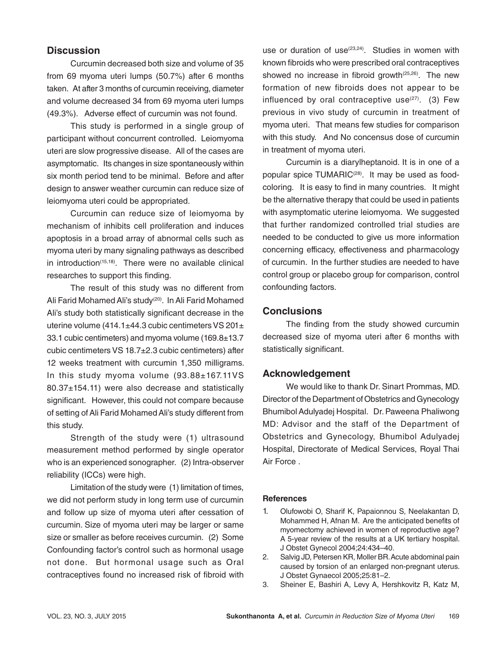# **Discussion**

Curcumin decreased both size and volume of 35 from 69 myoma uteri lumps (50.7%) after 6 months taken. At after 3 months of curcumin receiving, diameter and volume decreased 34 from 69 myoma uteri lumps (49.3%). Adverse effect of curcumin was not found.

This study is performed in a single group of participant without concurrent controlled. Leiomyoma uteri are slow progressive disease. All of the cases are asymptomatic. Its changes in size spontaneously within six month period tend to be minimal. Before and after design to answer weather curcumin can reduce size of leiomyoma uteri could be appropriated.

Curcumin can reduce size of leiomyoma by mechanism of inhibits cell proliferation and induces apoptosis in a broad array of abnormal cells such as myoma uteri by many signaling pathways as described in introduction<sup> $(15,18)$ </sup>. There were no available clinical researches to support this finding.

The result of this study was no different from Ali Farid Mohamed Ali's study(20). In Ali Farid Mohamed Ali's study both statistically significant decrease in the uterine volume (414.1±44.3 cubic centimeters VS 201± 33.1 cubic centimeters) and myoma volume (169.8±13.7 cubic centimeters VS 18.7±2.3 cubic centimeters) after 12 weeks treatment with curcumin 1,350 milligrams. In this study myoma volume (93.88±167.11VS 80.37±154.11) were also decrease and statistically significant. However, this could not compare because of setting of Ali Farid Mohamed Ali's study different from this study.

Strength of the study were (1) ultrasound measurement method performed by single operator who is an experienced sonographer. (2) Intra-observer reliability (ICCs) were high.

Limitation of the study were (1) limitation of times, we did not perform study in long term use of curcumin and follow up size of myoma uteri after cessation of curcumin. Size of myoma uteri may be larger or same size or smaller as before receives curcumin. (2) Some Confounding factor's control such as hormonal usage not done. But hormonal usage such as Oral contraceptives found no increased risk of fibroid with

use or duration of use $(23,24)$ . Studies in women with known fibroids who were prescribed oral contraceptives showed no increase in fibroid growth $(25,26)$ . The new formation of new fibroids does not appear to be influenced by oral contraceptive use $(27)$ . (3) Few previous in vivo study of curcumin in treatment of myoma uteri. That means few studies for comparison with this study. And No concensus dose of curcumin in treatment of myoma uteri.

Curcumin is a diarylheptanoid. It is in one of a popular spice TUMARIC<sup>(28)</sup>. It may be used as foodcoloring. It is easy to find in many countries. It might be the alternative therapy that could be used in patients with asymptomatic uterine leiomyoma. We suggested that further randomized controlled trial studies are needed to be conducted to give us more information concerning efficacy, effectiveness and pharmacology of curcumin. In the further studies are needed to have control group or placebo group for comparison, control confounding factors.

# **Conclusions**

The finding from the study showed curcumin decreased size of myoma uteri after 6 months with statistically significant.

# **Acknowledgement**

We would like to thank Dr. Sinart Prommas, MD. Director of the Department of Obstetrics and Gynecology Bhumibol Adulyadej Hospital. Dr. Paweena Phaliwong MD: Advisor and the staff of the Department of Obstetrics and Gynecology, Bhumibol Adulyadej Hospital, Directorate of Medical Services, Royal Thai Air Force

#### **References**

- 1. Olufowobi O, Sharif K, Papaionnou S, Neelakantan D, Mohammed H, Afnan M. Are the anticipated benefits of myomectomy achieved in women of reproductive age? A 5-year review of the results at a UK tertiary hospital. J Obstet Gynecol 2004;24:434–40.
- 2. Salvig JD, Petersen KR, Moller BR. Acute abdominal pain caused by torsion of an enlarged non-pregnant uterus. J Obstet Gynaecol 2005;25:81–2.
- 3. Sheiner E, Bashiri A, Levy A, Hershkovitz R, Katz M,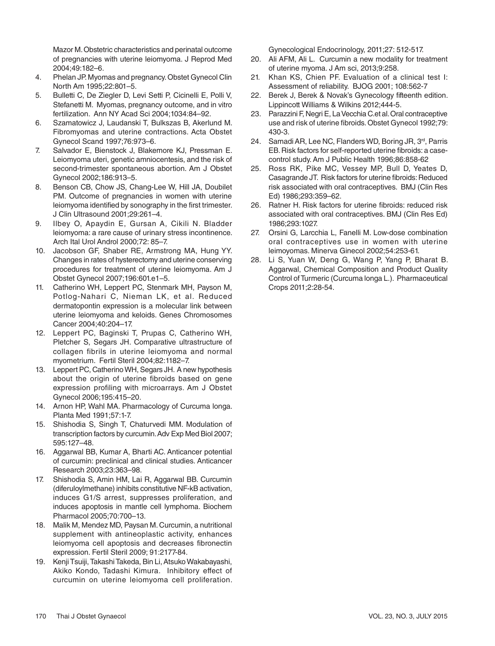Mazor M. Obstetric characteristics and perinatal outcome of pregnancies with uterine leiomyoma. J Reprod Med 2004;49:182–6.

- 4. Phelan JP. Myomas and pregnancy. Obstet Gynecol Clin North Am 1995;22:801–5.
- 5. Bulletti C, De Ziegler D, Levi Setti P, Cicinelli E, Polli V, Stefanetti M. Myomas, pregnancy outcome, and in vitro fertilization. Ann NY Acad Sci 2004;1034:84–92.
- 6. Szamatowicz J, Laudanski T, Bulkszas B, Akerlund M. Fibromyomas and uterine contractions. Acta Obstet Gynecol Scand 1997;76:973–6.
- 7. Salvador E, Bienstock J, Blakemore KJ, Pressman E. Leiomyoma uteri, genetic amniocentesis, and the risk of second-trimester spontaneous abortion. Am J Obstet Gynecol 2002;186:913–5.
- 8. Benson CB, Chow JS, Chang-Lee W, Hill JA, Doubilet PM. Outcome of pregnancies in women with uterine leiomyoma identified by sonography in the first trimester. J Clin Ultrasound 2001;29:261–4.
- 9. Ilbey O, Apaydin E, Gursan A, Cikili N. Bladder leiomyoma: a rare cause of urinary stress incontinence. Arch Ital Urol Androl 2000;72: 85–7.
- 10. Jacobson GF, Shaber RE, Armstrong MA, Hung YY. Changes in rates of hysterectomy and uterine conserving procedures for treatment of uterine leiomyoma. Am J Obstet Gynecol 2007;196:601.e1–5.
- 11. Catherino WH, Leppert PC, Stenmark MH, Payson M, Potlog-Nahari C, Nieman LK, et al. Reduced dermatopontin expression is a molecular link between uterine leiomyoma and keloids. Genes Chromosomes Cancer 2004;40:204–17.
- 12. Leppert PC, Baginski T, Prupas C, Catherino WH, Pletcher S, Segars JH. Comparative ultrastructure of collagen fibrils in uterine leiomyoma and normal myometrium. Fertil Steril 2004;82:1182–7.
- 13. Leppert PC, Catherino WH, Segars JH. A new hypothesis about the origin of uterine fibroids based on gene expression profiling with microarrays. Am J Obstet Gynecol 2006;195:415–20.
- 14. Arnon HP, Wahl MA. Pharmacology of Curcuma longa. Planta Med 1991;57:1-7.
- 15. Shishodia S, Singh T, Chaturvedi MM. Modulation of transcription factors by curcumin. Adv Exp Med Biol 2007; 595:127–48.
- 16. Aggarwal BB, Kumar A, Bharti AC. Anticancer potential of curcumin: preclinical and clinical studies. Anticancer Research 2003;23:363–98.
- 17. Shishodia S, Amin HM, Lai R, Aggarwal BB. Curcumin (diferuloylmethane) inhibits constitutive NF-kB activation, induces G1/S arrest, suppresses proliferation, and induces apoptosis in mantle cell lymphoma. Biochem Pharmacol 2005;70:700–13.
- 18. Malik M, Mendez MD, Paysan M. Curcumin, a nutritional supplement with antineoplastic activity, enhances leiomyoma cell apoptosis and decreases fibronectin expression. Fertil Steril 2009; 91:2177-84.
- 19. Kenji Tsuiji, Takashi Takeda, Bin Li, Atsuko Wakabayashi, Akiko Kondo, Tadashi Kimura. Inhibitory effect of curcumin on uterine leiomyoma cell proliferation.

Gynecological Endocrinology, 2011;27: 512-517.

- 20. Ali AFM, Ali L. Curcumin a new modality for treatment of uterine myoma. J Am sci, 2013;9:258.
- 21. Khan KS, Chien PF. Evaluation of a clinical test I: Assessment of reliability. BJOG 2001; 108:562-7
- 22. Berek J, Berek & Novak's Gynecology fifteenth edition. Lippincott Williams & Wilkins 2012;444-5.
- 23. Parazzini F, Negri E, La Vecchia C.et al. Oral contraceptive use and risk of uterine fibroids. Obstet Gynecol 1992;79: 430-3.
- 24. Samadi AR, Lee NC, Flanders WD, Boring JR, 3<sup>rd</sup>, Parris EB. Risk factors for self-reported uterine fibroids: a casecontrol study. Am J Public Health 1996;86:858-62
- 25. Ross RK, Pike MC, Vessey MP, Bull D, Yeates D, Casagrande JT. Risk factors for uterine fibroids: Reduced risk associated with oral contraceptives. BMJ (Clin Res Ed) 1986;293:359–62.
- 26. Ratner H. Risk factors for uterine fibroids: reduced risk associated with oral contraceptives. BMJ (Clin Res Ed) 1986;293:1027.
- 27. Orsini G, Larcchia L, Fanelli M. Low-dose combination oral contraceptives use in women with uterine leimoyomas. Minerva Ginecol 2002;54:253-61.
- 28. Li S, Yuan W, Deng G, Wang P, Yang P, Bharat B. Aggarwal, Chemical Composition and Product Quality Control of Turmeric (Curcuma longa L.). Pharmaceutical Crops 2011;2:28-54.